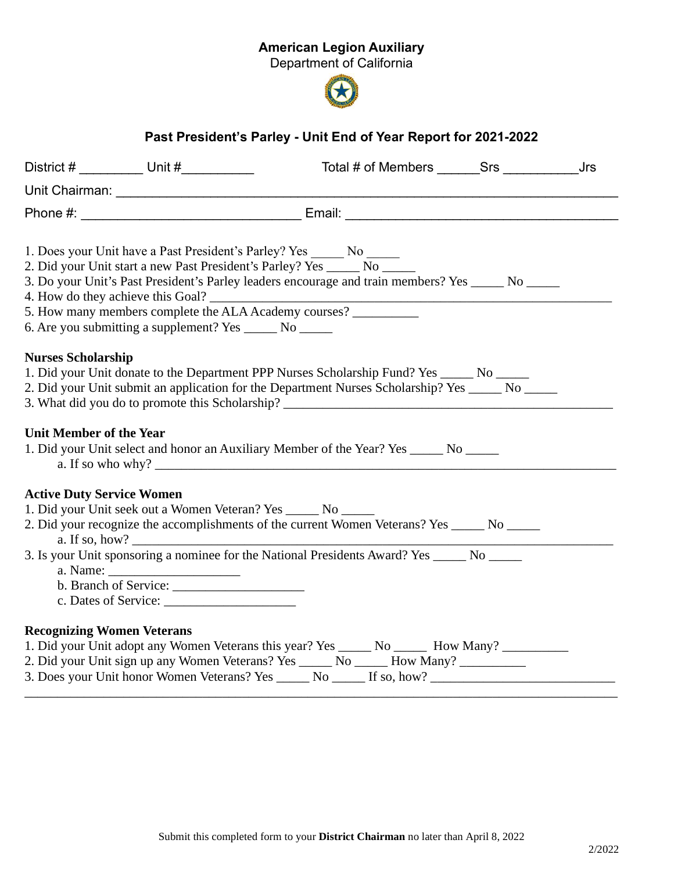## American Legion Auxiliary

Department of California



## Past President's Parley - Unit End of Year Report for 2021-2022

|                                                             |                      |                                                                                                                                                                                                                                                                                                                                                                                                                        | Jrs |
|-------------------------------------------------------------|----------------------|------------------------------------------------------------------------------------------------------------------------------------------------------------------------------------------------------------------------------------------------------------------------------------------------------------------------------------------------------------------------------------------------------------------------|-----|
|                                                             |                      |                                                                                                                                                                                                                                                                                                                                                                                                                        |     |
|                                                             |                      |                                                                                                                                                                                                                                                                                                                                                                                                                        |     |
| 6. Are you submitting a supplement? Yes ________ No _______ |                      | 1. Does your Unit have a Past President's Parley? Yes ______ No _____<br>2. Did your Unit start a new Past President's Parley? Yes _______ No _____<br>3. Do your Unit's Past President's Parley leaders encourage and train members? Yes ______ No ______<br>5. How many members complete the ALA Academy courses? ___________                                                                                        |     |
| <b>Nurses Scholarship</b><br><b>Unit Member of the Year</b> |                      | 1. Did your Unit donate to the Department PPP Nurses Scholarship Fund? Yes ______ No ______<br>2. Did your Unit submit an application for the Department Nurses Scholarship? Yes ______ No ______<br>3. What did you do to promote this Scholarship? _________________________________<br>1. Did your Unit select and honor an Auxiliary Member of the Year? Yes ______ No ______<br>a. If so who why? $\qquad \qquad$ |     |
| <b>Active Duty Service Women</b>                            |                      |                                                                                                                                                                                                                                                                                                                                                                                                                        |     |
| a. If so, how? $\qquad \qquad$                              |                      | 1. Did your Unit seek out a Women Veteran? Yes ______ No ______<br>2. Did your recognize the accomplishments of the current Women Veterans? Yes _____ No _____                                                                                                                                                                                                                                                         |     |
|                                                             | c. Dates of Service: | 3. Is your Unit sponsoring a nominee for the National Presidents Award? Yes ______ No ______                                                                                                                                                                                                                                                                                                                           |     |
| <b>Recognizing Women Veterans</b>                           |                      |                                                                                                                                                                                                                                                                                                                                                                                                                        |     |
|                                                             |                      | 1. Did your Unit adopt any Women Veterans this year? Yes _______ No _______ How Many? _____________                                                                                                                                                                                                                                                                                                                    |     |
|                                                             |                      | 2. Did your Unit sign up any Women Veterans? Yes ______ No ______ How Many? ___________<br>3. Does your Unit honor Women Veterans? Yes _______ No _______ If so, how?                                                                                                                                                                                                                                                  |     |